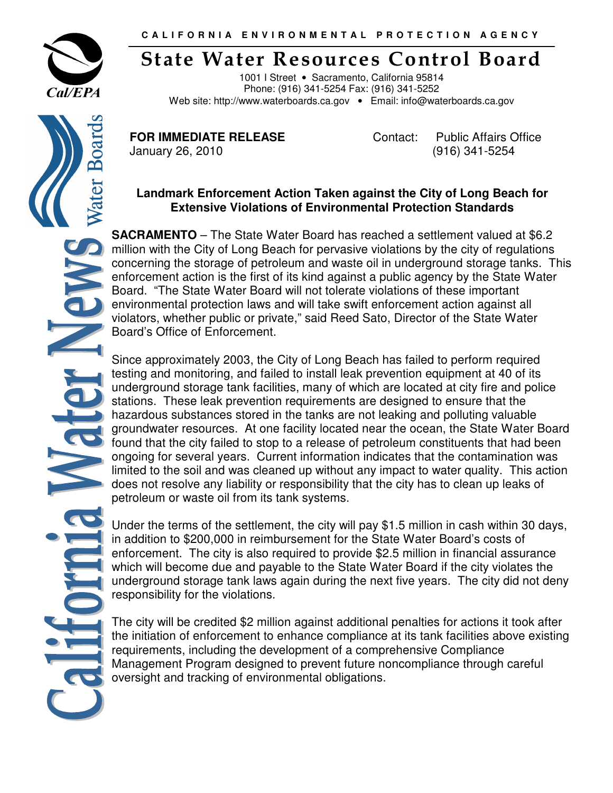

Boar

ater

## State Water Resources Control Board

1001 I Street • Sacramento, California 95814 Phone: (916) 341-5254 Fax: (916) 341-5252 Web site: http://www.waterboards.ca.gov • Email: info@waterboards.ca.gov

**FOR IMMEDIATE RELEASE Contact:** Public Affairs Office January 26, 2010 (916) 341-5254

## **Landmark Enforcement Action Taken against the City of Long Beach for Extensive Violations of Environmental Protection Standards**

**SACRAMENTO** – The State Water Board has reached a settlement valued at \$6.2 million with the City of Long Beach for pervasive violations by the city of regulations concerning the storage of petroleum and waste oil in underground storage tanks. This enforcement action is the first of its kind against a public agency by the State Water Board. "The State Water Board will not tolerate violations of these important environmental protection laws and will take swift enforcement action against all violators, whether public or private," said Reed Sato, Director of the State Water Board's Office of Enforcement.

Since approximately 2003, the City of Long Beach has failed to perform required testing and monitoring, and failed to install leak prevention equipment at 40 of its underground storage tank facilities, many of which are located at city fire and police stations. These leak prevention requirements are designed to ensure that the hazardous substances stored in the tanks are not leaking and polluting valuable groundwater resources. At one facility located near the ocean, the State Water Board found that the city failed to stop to a release of petroleum constituents that had been ongoing for several years. Current information indicates that the contamination was limited to the soil and was cleaned up without any impact to water quality. This action does not resolve any liability or responsibility that the city has to clean up leaks of petroleum or waste oil from its tank systems.

Under the terms of the settlement, the city will pay \$1.5 million in cash within 30 days, in addition to \$200,000 in reimbursement for the State Water Board's costs of enforcement. The city is also required to provide \$2.5 million in financial assurance which will become due and payable to the State Water Board if the city violates the underground storage tank laws again during the next five years. The city did not deny responsibility for the violations.

The city will be credited \$2 million against additional penalties for actions it took after the initiation of enforcement to enhance compliance at its tank facilities above existing requirements, including the development of a comprehensive Compliance Management Program designed to prevent future noncompliance through careful oversight and tracking of environmental obligations.